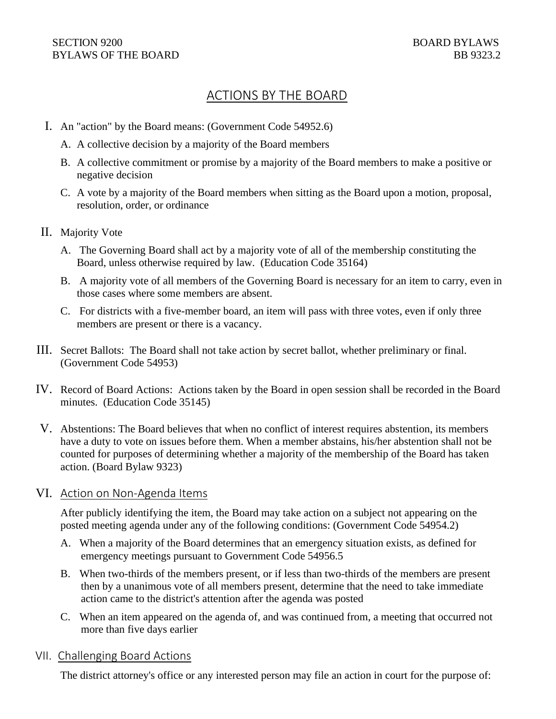# ACTIONS BY THE BOARD

- I. An "action" by the Board means: (Government Code 54952.6)
	- A. A collective decision by a majority of the Board members
	- B. A collective commitment or promise by a majority of the Board members to make a positive or negative decision
	- C. A vote by a majority of the Board members when sitting as the Board upon a motion, proposal, resolution, order, or ordinance
- II. Majority Vote
	- A. The Governing Board shall act by a majority vote of all of the membership constituting the Board, unless otherwise required by law. (Education Code 35164)
	- B. A majority vote of all members of the Governing Board is necessary for an item to carry, even in those cases where some members are absent.
	- C. For districts with a five-member board, an item will pass with three votes, even if only three members are present or there is a vacancy.
- III. Secret Ballots: The Board shall not take action by secret ballot, whether preliminary or final. (Government Code 54953)
- IV. Record of Board Actions: Actions taken by the Board in open session shall be recorded in the Board minutes. (Education Code 35145)
- V. Abstentions: The Board believes that when no conflict of interest requires abstention, its members have a duty to vote on issues before them. When a member abstains, his/her abstention shall not be counted for purposes of determining whether a majority of the membership of the Board has taken action. (Board Bylaw 9323)

## VI. Action on Non-Agenda Items

After publicly identifying the item, the Board may take action on a subject not appearing on the posted meeting agenda under any of the following conditions: (Government Code 54954.2)

- A. When a majority of the Board determines that an emergency situation exists, as defined for emergency meetings pursuant to Government Code 54956.5
- B. When two-thirds of the members present, or if less than two-thirds of the members are present then by a unanimous vote of all members present, determine that the need to take immediate action came to the district's attention after the agenda was posted
- C. When an item appeared on the agenda of, and was continued from, a meeting that occurred not more than five days earlier

## VII. Challenging Board Actions

The district attorney's office or any interested person may file an action in court for the purpose of: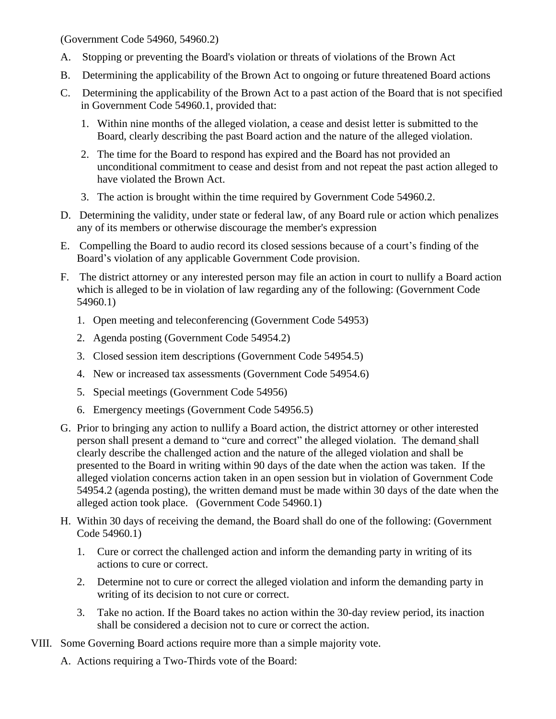(Government Code 54960, 54960.2)

- A. Stopping or preventing the Board's violation or threats of violations of the Brown Act
- B. Determining the applicability of the Brown Act to ongoing or future threatened Board actions
- C. Determining the applicability of the Brown Act to a past action of the Board that is not specified in Government Code 54960.1, provided that:
	- 1. Within nine months of the alleged violation, a cease and desist letter is submitted to the Board, clearly describing the past Board action and the nature of the alleged violation.
	- 2. The time for the Board to respond has expired and the Board has not provided an unconditional commitment to cease and desist from and not repeat the past action alleged to have violated the Brown Act.
	- 3. The action is brought within the time required by Government Code 54960.2.
- D. Determining the validity, under state or federal law, of any Board rule or action which penalizes any of its members or otherwise discourage the member's expression
- E. Compelling the Board to audio record its closed sessions because of a court's finding of the Board's violation of any applicable Government Code provision.
- F. The district attorney or any interested person may file an action in court to nullify a Board action which is alleged to be in violation of law regarding any of the following: (Government Code 54960.1)
	- 1. Open meeting and teleconferencing (Government Code 54953)
	- 2. Agenda posting (Government Code 54954.2)
	- 3. Closed session item descriptions (Government Code 54954.5)
	- 4. New or increased tax assessments (Government Code 54954.6)
	- 5. Special meetings (Government Code 54956)
	- 6. Emergency meetings (Government Code 54956.5)
- G. Prior to bringing any action to nullify a Board action, the district attorney or other interested person shall present a demand to "cure and correct" the alleged violation. The demand shall clearly describe the challenged action and the nature of the alleged violation and shall be presented to the Board in writing within 90 days of the date when the action was taken. If the alleged violation concerns action taken in an open session but in violation of Government Code 54954.2 (agenda posting), the written demand must be made within 30 days of the date when the alleged action took place. (Government Code 54960.1)
- H. Within 30 days of receiving the demand, the Board shall do one of the following: (Government Code 54960.1)
	- 1. Cure or correct the challenged action and inform the demanding party in writing of its actions to cure or correct.
	- 2. Determine not to cure or correct the alleged violation and inform the demanding party in writing of its decision to not cure or correct.
	- 3. Take no action. If the Board takes no action within the 30-day review period, its inaction shall be considered a decision not to cure or correct the action.
- VIII. Some Governing Board actions require more than a simple majority vote.
	- A. Actions requiring a Two-Thirds vote of the Board: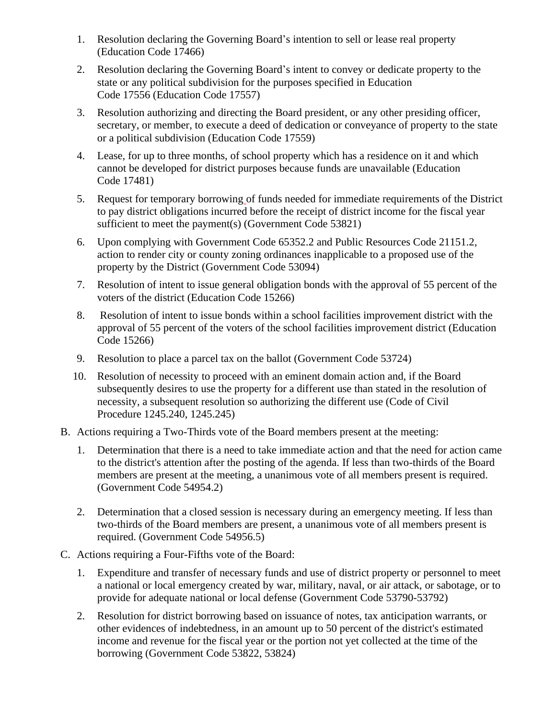- 1. Resolution declaring the Governing Board's intention to sell or lease real property (Education Code [17466\)](http://gamutonline.net/displayPolicy/136991/9)
- 2. Resolution declaring the Governing Board's intent to convey or dedicate property to the state or any political subdivision for the purposes specified in Education Code [17556](http://gamutonline.net/displayPolicy/137067/9) (Education Code [17557\)](http://gamutonline.net/displayPolicy/137068/9)
- 3. Resolution authorizing and directing the Board president, or any other presiding officer, secretary, or member, to execute a deed of dedication or conveyance of property to the state or a political subdivision (Education Code [17559\)](http://gamutonline.net/displayPolicy/137070/9)
- 4. Lease, for up to three months, of school property which has a residence on it and which cannot be developed for district purposes because funds are unavailable (Education Code [17481\)](http://gamutonline.net/displayPolicy/137006/9)
- 5. Request for temporary borrowing of funds needed for immediate requirements of the District to pay district obligations incurred before the receipt of district income for the fiscal year sufficient to meet the payment(s) (Government Code [53821\)](http://gamutonline.net/displayPolicy/145028/9)
- 6. Upon complying with Government Code [65352.2](http://gamutonline.net/displayPolicy/249030/9) and Public Resources Code [21151.2,](http://gamutonline.net/displayPolicy/172913/9) action to render city or county zoning ordinances inapplicable to a proposed use of the property by the District (Government Code [53094\)](http://gamutonline.net/displayPolicy/144845/9)
- 7. Resolution of intent to issue general obligation bonds with the approval of 55 percent of the voters of the district (Education Code [15266\)](http://gamutonline.net/displayPolicy/225973/9)
- 8. Resolution of intent to issue bonds within a school facilities improvement district with the approval of 55 percent of the voters of the school facilities improvement district (Education Code [15266\)](http://gamutonline.net/displayPolicy/225973/9)
- 9. Resolution to place a parcel tax on the ballot (Government Code [53724\)](http://gamutonline.net/displayPolicy/684495/9)
- 10. Resolution of necessity to proceed with an eminent domain action and, if the Board subsequently desires to use the property for a different use than stated in the resolution of necessity, a subsequent resolution so authorizing the different use (Code of Civil Procedure [1245.240,](http://gamutonline.net/displayPolicy/684493/9) [1245.245\)](http://gamutonline.net/displayPolicy/684494/9)
- B. Actions requiring a Two-Thirds vote of the Board members present at the meeting:
	- 1. Determination that there is a need to take immediate action and that the need for action came to the district's attention after the posting of the agenda. If less than two-thirds of the Board members are present at the meeting, a unanimous vote of all members present is required. (Government Code [54954.2\)](http://gamutonline.net/displayPolicy/145074/9)
	- 2. Determination that a closed session is necessary during an emergency meeting. If less than two-thirds of the Board members are present, a unanimous vote of all members present is required. (Government Code [54956.5\)](http://gamutonline.net/displayPolicy/145081/9)
- C. Actions requiring a Four-Fifths vote of the Board:
	- 1. Expenditure and transfer of necessary funds and use of district property or personnel to meet a national or local emergency created by war, military, naval, or air attack, or sabotage, or to provide for adequate national or local defense (Government Code [53790-](http://gamutonline.net/displayPolicy/145024/9)[53792\)](http://gamutonline.net/displayPolicy/145026/9)
	- 2. Resolution for district borrowing based on issuance of notes, tax anticipation warrants, or other evidences of indebtedness, in an amount up to 50 percent of the district's estimated income and revenue for the fiscal year or the portion not yet collected at the time of the borrowing (Government Code [53822,](http://gamutonline.net/displayPolicy/145030/9) [53824\)](http://gamutonline.net/displayPolicy/145032/9)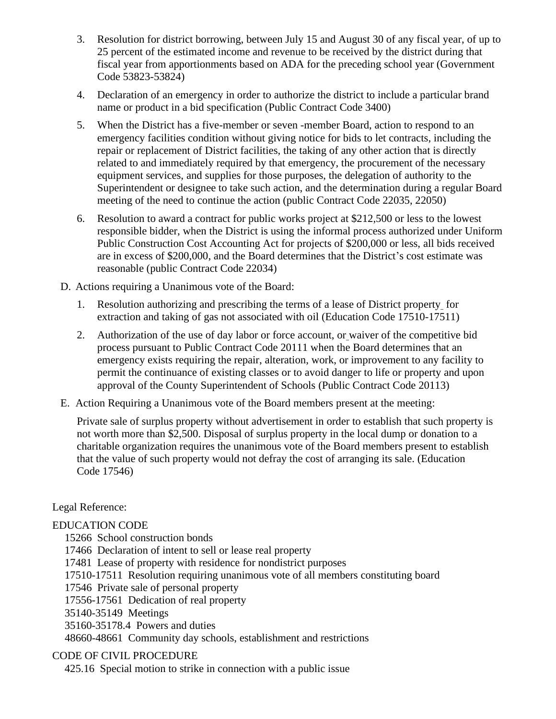- 3. Resolution for district borrowing, between July 15 and August 30 of any fiscal year, of up to 25 percent of the estimated income and revenue to be received by the district during that fiscal year from apportionments based on ADA for the preceding school year (Government Code [53823-](http://gamutonline.net/displayPolicy/145031/9)[53824\)](http://gamutonline.net/displayPolicy/145032/9)
- 4. Declaration of an emergency in order to authorize the district to include a particular brand name or product in a bid specification (Public Contract Code [3400\)](http://gamutonline.net/displayPolicy/172821/9)
- 5. When the District has a five-member or seven -member Board, action to respond to an emergency facilities condition without giving notice for bids to let contracts, including the repair or replacement of District facilities, the taking of any other action that is directly related to and immediately required by that emergency, the procurement of the necessary equipment services, and supplies for those purposes, the delegation of authority to the Superintendent or designee to take such action, and the determination during a regular Board meeting of the need to continue the action (public Contract Code 22035, 22050)
- 6. Resolution to award a contract for public works project at \$212,500 or less to the lowest responsible bidder, when the District is using the informal process authorized under Uniform Public Construction Cost Accounting Act for projects of \$200,000 or less, all bids received are in excess of \$200,000, and the Board determines that the District's cost estimate was reasonable (public Contract Code 22034)
- D. Actions requiring a Unanimous vote of the Board:
	- 1. Resolution authorizing and prescribing the terms of a lease of District property for extraction and taking of gas not associated with oil (Education Code [17510](http://gamutonline.net/displayPolicy/137026/9)[-17511\)](http://gamutonline.net/displayPolicy/137027/9)
	- 2. Authorization of the use of day labor or force account, or waiver of the competitive bid process pursuant to Public Contract Code [20111](http://gamutonline.net/displayPolicy/172746/9) when the Board determines that an emergency exists requiring the repair, alteration, work, or improvement to any facility to permit the continuance of existing classes or to avoid danger to life or property and upon approval of the County Superintendent of Schools (Public Contract Code [20113\)](http://gamutonline.net/displayPolicy/172748/9)
- E. Action Requiring a Unanimous vote of the Board members present at the meeting:

Private sale of surplus property without advertisement in order to establish that such property is not worth more than \$2,500. Disposal of surplus property in the local dump or donation to a charitable organization requires the unanimous vote of the Board members present to establish that the value of such property would not defray the cost of arranging its sale. (Education Code [17546\)](http://gamutonline.net/displayPolicy/137057/9)

## Legal Reference:

## EDUCATION CODE

- 15266 School construction bonds
- 17466 Declaration of intent to sell or lease real property
- 17481 Lease of property with residence for nondistrict purposes
- 17510-17511 Resolution requiring unanimous vote of all members constituting board
- 17546 Private sale of personal property
- 17556-17561 Dedication of real property
- 35140-35149 Meetings
- 35160-35178.4 Powers and duties
- 48660-48661 Community day schools, establishment and restrictions

#### CODE OF CIVIL PROCEDURE

425.16 Special motion to strike in connection with a public issue